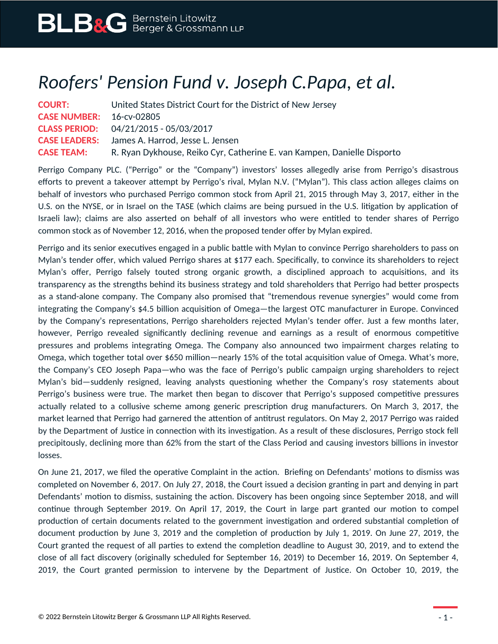## *Roofers' Pension Fund v. Joseph C.Papa, et al.*

| <b>COURT:</b>                   | United States District Court for the District of New Jersey             |
|---------------------------------|-------------------------------------------------------------------------|
| <b>CASE NUMBER: 16-cv-02805</b> |                                                                         |
|                                 | <b>CLASS PERIOD:</b> $04/21/2015 - 05/03/2017$                          |
|                                 | <b>CASE LEADERS:</b> James A. Harrod, Jesse L. Jensen                   |
| <b>CASE TEAM:</b>               | R. Ryan Dykhouse, Reiko Cyr, Catherine E. van Kampen, Danielle Disporto |

Perrigo Company PLC. ("Perrigo" or the "Company") investors' losses allegedly arise from Perrigo's disastrous efforts to prevent a takeover attempt by Perrigo's rival, Mylan N.V. ("Mylan"). This class action alleges claims on behalf of investors who purchased Perrigo common stock from April 21, 2015 through May 3, 2017, either in the U.S. on the NYSE, or in Israel on the TASE (which claims are being pursued in the U.S. litigation by application of Israeli law); claims are also asserted on behalf of all investors who were entitled to tender shares of Perrigo common stock as of November 12, 2016, when the proposed tender offer by Mylan expired.

Perrigo and its senior executives engaged in a public battle with Mylan to convince Perrigo shareholders to pass on Mylan's tender offer, which valued Perrigo shares at \$177 each. Specifically, to convince its shareholders to reject Mylan's offer, Perrigo falsely touted strong organic growth, a disciplined approach to acquisitions, and its transparency as the strengths behind its business strategy and told shareholders that Perrigo had better prospects as a stand-alone company. The Company also promised that "tremendous revenue synergies" would come from integrating the Company's \$4.5 billion acquisition of Omega—the largest OTC manufacturer in Europe. Convinced by the Company's representations, Perrigo shareholders rejected Mylan's tender offer. Just a few months later, however, Perrigo revealed significantly declining revenue and earnings as a result of enormous competitive pressures and problems integrating Omega. The Company also announced two impairment charges relating to Omega, which together total over \$650 million—nearly 15% of the total acquisition value of Omega. What's more, the Company's CEO Joseph Papa—who was the face of Perrigo's public campaign urging shareholders to reject Mylan's bid—suddenly resigned, leaving analysts questioning whether the Company's rosy statements about Perrigo's business were true. The market then began to discover that Perrigo's supposed competitive pressures actually related to a collusive scheme among generic prescription drug manufacturers. On March 3, 2017, the market learned that Perrigo had garnered the attention of antitrust regulators. On May 2, 2017 Perrigo was raided by the Department of Justice in connection with its investigation. As a result of these disclosures, Perrigo stock fell precipitously, declining more than 62% from the start of the Class Period and causing investors billions in investor losses.

On June 21, 2017, we filed the operative Complaint in the action. Briefing on Defendants' motions to dismiss was completed on November 6, 2017. On July 27, 2018, the Court issued a decision granting in part and denying in part Defendants' motion to dismiss, sustaining the action. Discovery has been ongoing since September 2018, and will continue through September 2019. On April 17, 2019, the Court in large part granted our motion to compel production of certain documents related to the government investigation and ordered substantial completion of document production by June 3, 2019 and the completion of production by July 1, 2019. On June 27, 2019, the Court granted the request of all parties to extend the completion deadline to August 30, 2019, and to extend the close of all fact discovery (originally scheduled for September 16, 2019) to December 16, 2019. On September 4, 2019, the Court granted permission to intervene by the Department of Justice. On October 10, 2019, the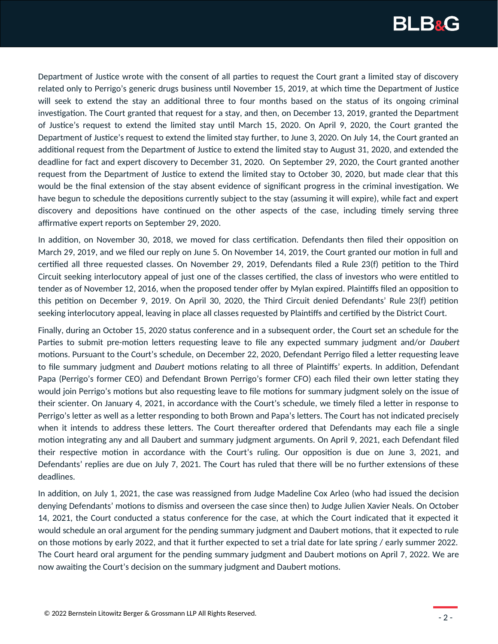

Department of Justice wrote with the consent of all parties to request the Court grant a limited stay of discovery related only to Perrigo's generic drugs business until November 15, 2019, at which time the Department of Justice will seek to extend the stay an additional three to four months based on the status of its ongoing criminal investigation. The Court granted that request for a stay, and then, on December 13, 2019, granted the Department of Justice's request to extend the limited stay until March 15, 2020. On April 9, 2020, the Court granted the Department of Justice's request to extend the limited stay further, to June 3, 2020. On July 14, the Court granted an additional request from the Department of Justice to extend the limited stay to August 31, 2020, and extended the deadline for fact and expert discovery to December 31, 2020. On September 29, 2020, the Court granted another request from the Department of Justice to extend the limited stay to October 30, 2020, but made clear that this would be the final extension of the stay absent evidence of significant progress in the criminal investigation. We have begun to schedule the depositions currently subject to the stay (assuming it will expire), while fact and expert discovery and depositions have continued on the other aspects of the case, including timely serving three affirmative expert reports on September 29, 2020.

In addition, on November 30, 2018, we moved for class certification. Defendants then filed their opposition on March 29, 2019, and we filed our reply on June 5. On November 14, 2019, the Court granted our motion in full and certified all three requested classes. On November 29, 2019, Defendants filed a Rule 23(f) petition to the Third Circuit seeking interlocutory appeal of just one of the classes certified, the class of investors who were entitled to tender as of November 12, 2016, when the proposed tender offer by Mylan expired. Plaintiffs filed an opposition to this petition on December 9, 2019. On April 30, 2020, the Third Circuit denied Defendants' Rule 23(f) petition seeking interlocutory appeal, leaving in place all classes requested by Plaintiffs and certified by the District Court.

Finally, during an October 15, 2020 status conference and in a subsequent order, the Court set an schedule for the Parties to submit pre-motion letters requesting leave to file any expected summary judgment and/or *Daubert* motions. Pursuant to the Court's schedule, on December 22, 2020, Defendant Perrigo filed a letter requesting leave to file summary judgment and *Daubert* motions relating to all three of Plaintiffs' experts. In addition, Defendant Papa (Perrigo's former CEO) and Defendant Brown Perrigo's former CFO) each filed their own letter stating they would join Perrigo's motions but also requesting leave to file motions for summary judgment solely on the issue of their scienter. On January 4, 2021, in accordance with the Court's schedule, we timely filed a letter in response to Perrigo's letter as well as a letter responding to both Brown and Papa's letters. The Court has not indicated precisely when it intends to address these letters. The Court thereafter ordered that Defendants may each file a single motion integrating any and all Daubert and summary judgment arguments. On April 9, 2021, each Defendant filed their respective motion in accordance with the Court's ruling. Our opposition is due on June 3, 2021, and Defendants' replies are due on July 7, 2021. The Court has ruled that there will be no further extensions of these deadlines.

In addition, on July 1, 2021, the case was reassigned from Judge Madeline Cox Arleo (who had issued the decision denying Defendants' motions to dismiss and overseen the case since then) to Judge Julien Xavier Neals. On October 14, 2021, the Court conducted a status conference for the case, at which the Court indicated that it expected it would schedule an oral argument for the pending summary judgment and Daubert motions, that it expected to rule on those motions by early 2022, and that it further expected to set a trial date for late spring / early summer 2022. The Court heard oral argument for the pending summary judgment and Daubert motions on April 7, 2022. We are now awaiting the Court's decision on the summary judgment and Daubert motions.